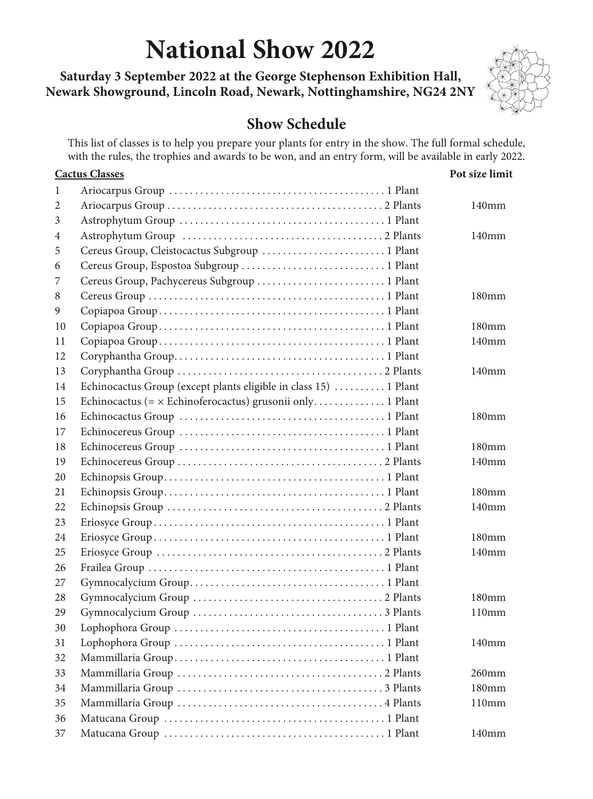# **National Show 2022**

**Saturday 3 September 2022 at the George Stephenson Exhibition Hall, Newark Showground, Lincoln Road, Newark, Nottinghamshire, NG24 2NY** 



# **Show Schedule**

This list of classes is to help you prepare your plants for entry in the show. The full formal schedule, with the rules, the trophies and awards to be won, and an entry form, will be available in early 2022.

|    | <b>Cactus Classes</b>                                            | Pot size limit    |
|----|------------------------------------------------------------------|-------------------|
| 1  |                                                                  |                   |
| 2  |                                                                  | 140 <sub>mm</sub> |
| 3  |                                                                  |                   |
| 4  |                                                                  | 140 <sub>mm</sub> |
| 5  | Cereus Group, Cleistocactus Subgroup  1 Plant                    |                   |
| 6  | Cereus Group, Espostoa Subgroup  1 Plant                         |                   |
| 7  | Cereus Group, Pachycereus Subgroup  1 Plant                      |                   |
| 8  |                                                                  | 180 <sub>mm</sub> |
| 9  |                                                                  |                   |
| 10 |                                                                  | 180 <sub>mm</sub> |
| 11 |                                                                  | 140 <sub>mm</sub> |
| 12 |                                                                  |                   |
| 13 |                                                                  | 140 <sub>mm</sub> |
| 14 | Echinocactus Group (except plants eligible in class 15)  1 Plant |                   |
| 15 | Echinocactus (= x Echinoferocactus) grusonii only 1 Plant        |                   |
| 16 |                                                                  | 180 <sub>mm</sub> |
| 17 |                                                                  |                   |
| 18 |                                                                  | $180 \text{mm}$   |
| 19 |                                                                  | 140 <sub>mm</sub> |
| 20 |                                                                  |                   |
| 21 |                                                                  | 180 <sub>mm</sub> |
| 22 |                                                                  | $140$ mm          |
| 23 |                                                                  |                   |
| 24 |                                                                  | 180 <sub>mm</sub> |
| 25 |                                                                  | $140$ mm          |
| 26 |                                                                  |                   |
| 27 |                                                                  |                   |
| 28 |                                                                  | 180 <sub>mm</sub> |
| 29 |                                                                  | 110mm             |
| 30 |                                                                  |                   |
| 31 |                                                                  | $140$ mm          |
| 32 |                                                                  |                   |
| 33 |                                                                  | $260$ mm          |
| 34 |                                                                  | 180 <sub>mm</sub> |
| 35 |                                                                  | 110mm             |
| 36 |                                                                  |                   |
| 37 |                                                                  | $140$ mm          |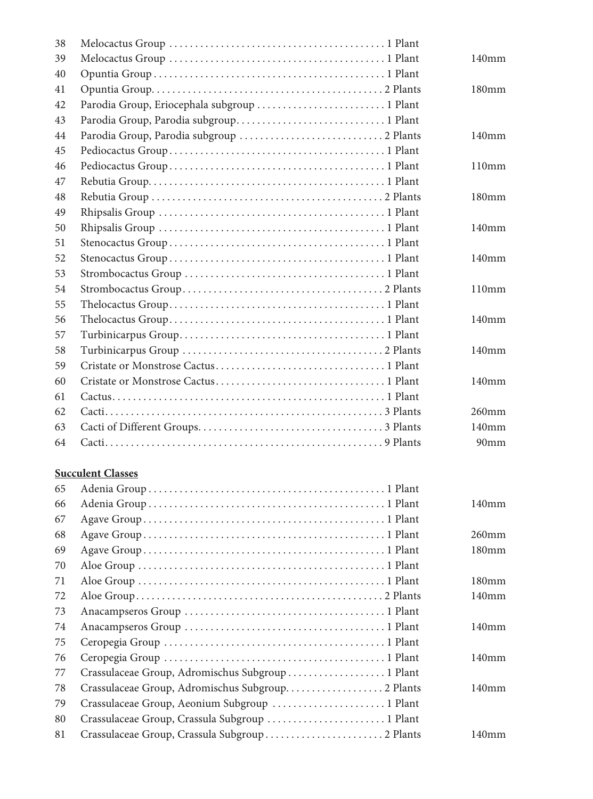| 38         |                                              |                   |
|------------|----------------------------------------------|-------------------|
| 39         |                                              | 140 <sub>mm</sub> |
| 40         |                                              |                   |
| 41         |                                              | 180 <sub>mm</sub> |
| 42         | Parodia Group, Eriocephala subgroup  1 Plant |                   |
| 43         |                                              |                   |
| 44         |                                              | 140mm             |
| 45         |                                              |                   |
| 46         |                                              | 110mm             |
| 47         |                                              |                   |
| 48         |                                              | 180 <sub>mm</sub> |
| 49         |                                              |                   |
| 50         |                                              | 140 <sub>mm</sub> |
| 51         |                                              |                   |
| 52         |                                              | 140 <sub>mm</sub> |
| 53         |                                              |                   |
| 54         |                                              | 110mm             |
| 55         |                                              |                   |
| 56         |                                              | 140 <sub>mm</sub> |
| 57         |                                              |                   |
| 58         |                                              | 140 <sub>mm</sub> |
| 59         |                                              |                   |
| 60         |                                              | 140mm             |
| 61         |                                              |                   |
| 62         |                                              | $260$ mm          |
| 63         |                                              | 140 <sub>mm</sub> |
| 64         |                                              | 90 <sub>mm</sub>  |
|            | <b>Succulent Classes</b>                     |                   |
| 65         |                                              |                   |
| $\epsilon$ | Adonia Crown 1 Dlant                         | 140mm             |

| 66 |                                                   | 140 <sub>mm</sub> |
|----|---------------------------------------------------|-------------------|
| 67 |                                                   |                   |
| 68 |                                                   | $260$ mm          |
| 69 |                                                   | 180 <sub>mm</sub> |
| 70 |                                                   |                   |
| 71 |                                                   | 180 <sub>mm</sub> |
| 72 |                                                   | 140 <sub>mm</sub> |
| 73 |                                                   |                   |
| 74 |                                                   | 140 <sub>mm</sub> |
| 75 |                                                   |                   |
| 76 |                                                   | 140 <sub>mm</sub> |
| 77 | Crassulaceae Group, Adromischus Subgroup  1 Plant |                   |
| 78 | Crassulaceae Group, Adromischus Subgroup 2 Plants | 140 <sub>mm</sub> |
| 79 | Crassulaceae Group, Aeonium Subgroup  1 Plant     |                   |
| 80 | Crassulaceae Group, Crassula Subgroup  1 Plant    |                   |
| 81 | Crassulaceae Group, Crassula Subgroup  2 Plants   | 140 <sub>mm</sub> |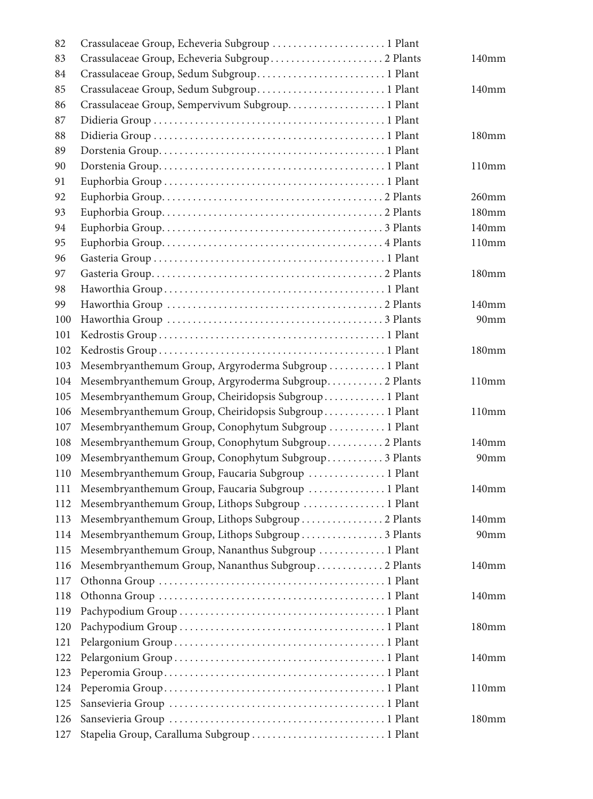| 82  | Crassulaceae Group, Echeveria Subgroup  1 Plant        |                   |
|-----|--------------------------------------------------------|-------------------|
| 83  |                                                        | 140 <sub>mm</sub> |
| 84  | Crassulaceae Group, Sedum Subgroup 1 Plant             |                   |
| 85  | Crassulaceae Group, Sedum Subgroup 1 Plant             | 140mm             |
| 86  | Crassulaceae Group, Sempervivum Subgroup 1 Plant       |                   |
| 87  |                                                        |                   |
| 88  |                                                        | 180mm             |
| 89  |                                                        |                   |
| 90  |                                                        | 110mm             |
| 91  |                                                        |                   |
| 92  |                                                        | 260mm             |
| 93  |                                                        | 180mm             |
| 94  |                                                        | 140mm             |
| 95  |                                                        | 110mm             |
| 96  |                                                        |                   |
| 97  |                                                        | 180 <sub>mm</sub> |
| 98  |                                                        |                   |
| 99  |                                                        | 140 <sub>mm</sub> |
| 100 |                                                        | 90 <sub>mm</sub>  |
| 101 |                                                        |                   |
| 102 |                                                        | 180 <sub>mm</sub> |
| 103 | Mesembryanthemum Group, Argyroderma Subgroup  1 Plant  |                   |
| 104 | Mesembryanthemum Group, Argyroderma Subgroup 2 Plants  | 110mm             |
| 105 | Mesembryanthemum Group, Cheiridopsis Subgroup  1 Plant |                   |
| 106 | Mesembryanthemum Group, Cheiridopsis Subgroup  1 Plant | 110mm             |
| 107 | Mesembryanthemum Group, Conophytum Subgroup  1 Plant   |                   |
| 108 | Mesembryanthemum Group, Conophytum Subgroup 2 Plants   | 140mm             |
| 109 | Mesembryanthemum Group, Conophytum Subgroup 3 Plants   | 90 <sub>mm</sub>  |
| 110 | Mesembryanthemum Group, Faucaria Subgroup  1 Plant     |                   |
| 111 | Mesembryanthemum Group, Faucaria Subgroup  1 Plant     | 140mm             |
| 112 | Mesembryanthemum Group, Lithops Subgroup  1 Plant      |                   |
| 113 | Mesembryanthemum Group, Lithops Subgroup  2 Plants     | 140 <sub>mm</sub> |
| 114 | Mesembryanthemum Group, Lithops Subgroup  3 Plants     | 90mm              |
| 115 | Mesembryanthemum Group, Nananthus Subgroup  1 Plant    |                   |
| 116 | Mesembryanthemum Group, Nananthus Subgroup  2 Plants   | 140 <sub>mm</sub> |
| 117 |                                                        |                   |
| 118 |                                                        | 140 <sub>mm</sub> |
| 119 |                                                        |                   |
| 120 |                                                        | 180 <sub>mm</sub> |
| 121 |                                                        |                   |
| 122 |                                                        | 140 <sub>mm</sub> |
| 123 |                                                        |                   |
| 124 |                                                        | 110mm             |
| 125 |                                                        |                   |
| 126 |                                                        | 180 <sub>mm</sub> |
| 127 | Stapelia Group, Caralluma Subgroup  1 Plant            |                   |
|     |                                                        |                   |